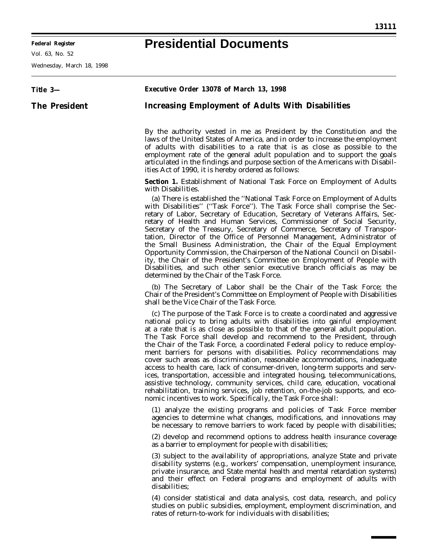$\equiv$ 

## **Presidential Documents**

۳

Vol. 63, No. 52

Wednesday, March 18, 1998

| Title 3-             | Executive Order 13078 of March 13, 1998                                                                                                                                                                                                                                                                                                                                                                                                                                                                                                                                                                                                                                                                                                                                                                                                                                                                                                                       |
|----------------------|---------------------------------------------------------------------------------------------------------------------------------------------------------------------------------------------------------------------------------------------------------------------------------------------------------------------------------------------------------------------------------------------------------------------------------------------------------------------------------------------------------------------------------------------------------------------------------------------------------------------------------------------------------------------------------------------------------------------------------------------------------------------------------------------------------------------------------------------------------------------------------------------------------------------------------------------------------------|
| <b>The President</b> | <b>Increasing Employment of Adults With Disabilities</b>                                                                                                                                                                                                                                                                                                                                                                                                                                                                                                                                                                                                                                                                                                                                                                                                                                                                                                      |
|                      | By the authority vested in me as President by the Constitution and the<br>laws of the United States of America, and in order to increase the employment<br>of adults with disabilities to a rate that is as close as possible to the<br>employment rate of the general adult population and to support the goals<br>articulated in the findings and purpose section of the Americans with Disabil-<br>ities Act of 1990, it is hereby ordered as follows:                                                                                                                                                                                                                                                                                                                                                                                                                                                                                                     |
|                      | <b>Section 1.</b> Establishment of National Task Force on Employment of Adults<br>with Disabilities.                                                                                                                                                                                                                                                                                                                                                                                                                                                                                                                                                                                                                                                                                                                                                                                                                                                          |
|                      | (a) There is established the "National Task Force on Employment of Adults<br>with Disabilities" ("Task Force"). The Task Force shall comprise the Sec-<br>retary of Labor, Secretary of Education, Secretary of Veterans Affairs, Sec-<br>retary of Health and Human Services, Commissioner of Social Security,<br>Secretary of the Treasury, Secretary of Commerce, Secretary of Transpor-<br>tation, Director of the Office of Personnel Management, Administrator of<br>the Small Business Administration, the Chair of the Equal Employment<br>Opportunity Commission, the Chairperson of the National Council on Disabil-<br>ity, the Chair of the President's Committee on Employment of People with<br>Disabilities, and such other senior executive branch officials as may be<br>determined by the Chair of the Task Force.                                                                                                                          |
|                      | (b) The Secretary of Labor shall be the Chair of the Task Force; the<br>Chair of the President's Committee on Employment of People with Disabilities<br>shall be the Vice Chair of the Task Force.                                                                                                                                                                                                                                                                                                                                                                                                                                                                                                                                                                                                                                                                                                                                                            |
|                      | (c) The purpose of the Task Force is to create a coordinated and aggressive<br>national policy to bring adults with disabilities into gainful employment<br>at a rate that is as close as possible to that of the general adult population.<br>The Task Force shall develop and recommend to the President, through<br>the Chair of the Task Force, a coordinated Federal policy to reduce employ-<br>ment barriers for persons with disabilities. Policy recommendations may<br>cover such areas as discrimination, reasonable accommodations, inadequate<br>access to health care, lack of consumer-driven, long-term supports and serv-<br>ices, transportation, accessible and integrated housing, telecommunications,<br>assistive technology, community services, child care, education, vocational<br>rehabilitation, training services, job retention, on-the-job supports, and eco-<br>nomic incentives to work. Specifically, the Task Force shall: |
|                      | (1) analyze the existing programs and policies of Task Force member<br>agencies to determine what changes, modifications, and innovations may<br>be necessary to remove barriers to work faced by people with disabilities;                                                                                                                                                                                                                                                                                                                                                                                                                                                                                                                                                                                                                                                                                                                                   |
|                      | (2) develop and recommend options to address health insurance coverage<br>as a barrier to employment for people with disabilities;                                                                                                                                                                                                                                                                                                                                                                                                                                                                                                                                                                                                                                                                                                                                                                                                                            |
|                      | (3) subject to the availability of appropriations, analyze State and private<br>disability systems (e.g., workers' compensation, unemployment insurance,<br>private insurance, and State mental health and mental retardation systems)<br>and their effect on Federal programs and employment of adults with<br>disabilities;                                                                                                                                                                                                                                                                                                                                                                                                                                                                                                                                                                                                                                 |
|                      | (4) consider statistical and data analysis, cost data, research, and policy<br>studies on public subsidies, employment, employment discrimination, and<br>rates of return-to-work for individuals with disabilities;                                                                                                                                                                                                                                                                                                                                                                                                                                                                                                                                                                                                                                                                                                                                          |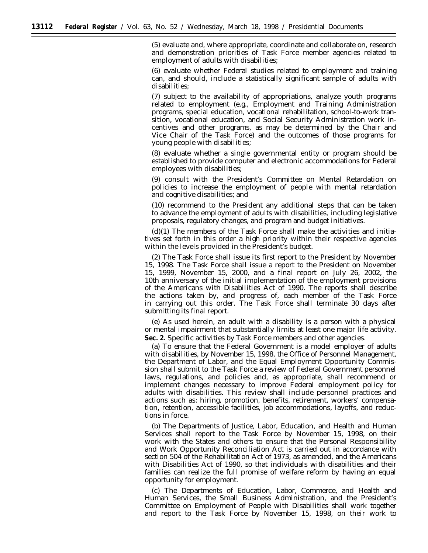(5) evaluate and, where appropriate, coordinate and collaborate on, research and demonstration priorities of Task Force member agencies related to employment of adults with disabilities;

(6) evaluate whether Federal studies related to employment and training can, and should, include a statistically significant sample of adults with disabilities;

(7) subject to the availability of appropriations, analyze youth programs related to employment (e.g., Employment and Training Administration programs, special education, vocational rehabilitation, school-to-work transition, vocational education, and Social Security Administration work incentives and other programs, as may be determined by the Chair and Vice Chair of the Task Force) and the outcomes of those programs for young people with disabilities;

(8) evaluate whether a single governmental entity or program should be established to provide computer and electronic accommodations for Federal employees with disabilities;

(9) consult with the President's Committee on Mental Retardation on policies to increase the employment of people with mental retardation and cognitive disabilities; and

(10) recommend to the President any additional steps that can be taken to advance the employment of adults with disabilities, including legislative proposals, regulatory changes, and program and budget initiatives.

(d)(1) The members of the Task Force shall make the activities and initiatives set forth in this order a high priority within their respective agencies within the levels provided in the President's budget.

(2) The Task Force shall issue its first report to the President by November 15, 1998. The Task Force shall issue a report to the President on November 15, 1999, November 15, 2000, and a final report on July 26, 2002, the 10th anniversary of the initial implementation of the employment provisions of the Americans with Disabilities Act of 1990. The reports shall describe the actions taken by, and progress of, each member of the Task Force in carrying out this order. The Task Force shall terminate 30 days after submitting its final report.

(e) As used herein, an adult with a disability is a person with a physical or mental impairment that substantially limits at least one major life activity. Sec. 2. Specific activities by Task Force members and other agencies.

(a) To ensure that the Federal Government is a model employer of adults with disabilities, by November 15, 1998, the Office of Personnel Management, the Department of Labor, and the Equal Employment Opportunity Commission shall submit to the Task Force a review of Federal Government personnel laws, regulations, and policies and, as appropriate, shall recommend or implement changes necessary to improve Federal employment policy for adults with disabilities. This review shall include personnel practices and actions such as: hiring, promotion, benefits, retirement, workers' compensation, retention, accessible facilities, job accommodations, layoffs, and reductions in force.

(b) The Departments of Justice, Labor, Education, and Health and Human Services shall report to the Task Force by November 15, 1998, on their work with the States and others to ensure that the Personal Responsibility and Work Opportunity Reconciliation Act is carried out in accordance with section 504 of the Rehabilitation Act of 1973, as amended, and the Americans with Disabilities Act of 1990, so that individuals with disabilities and their families can realize the full promise of welfare reform by having an equal opportunity for employment.

(c) The Departments of Education, Labor, Commerce, and Health and Human Services, the Small Business Administration, and the President's Committee on Employment of People with Disabilities shall work together and report to the Task Force by November 15, 1998, on their work to